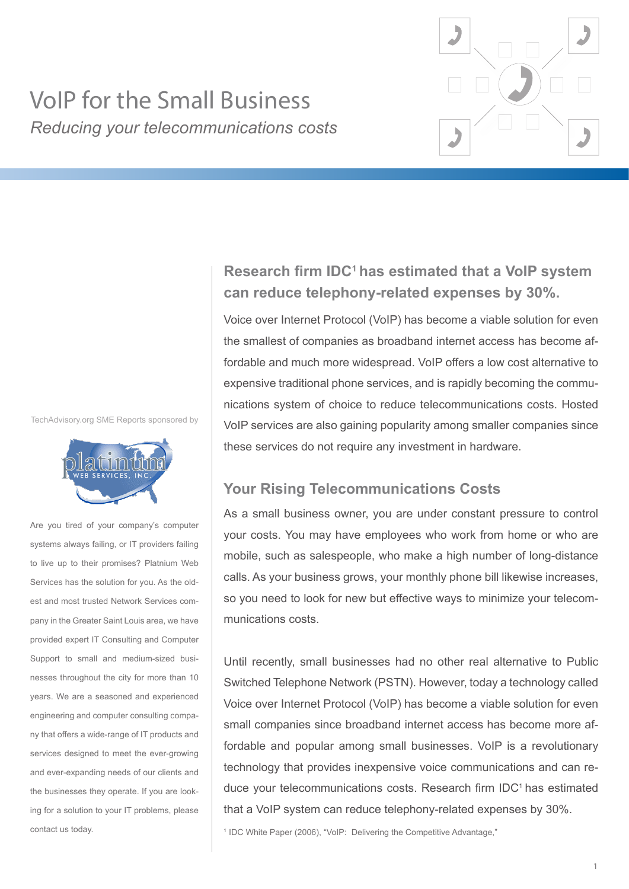

# VoIP for the Small Business *Reducing your telecommunications costs*

TechAdvisory.org SME Reports sponsored by



Are you tired of your company's computer systems always failing, or IT providers failing to live up to their promises? Platnium Web Services has the solution for you. As the oldest and most trusted Network Services company in the Greater Saint Louis area, we have provided expert IT Consulting and Computer Support to small and medium-sized businesses throughout the city for more than 10 years. We are a seasoned and experienced engineering and computer consulting company that offers a wide-range of IT products and services designed to meet the ever-growing and ever-expanding needs of our clients and the businesses they operate. If you are looking for a solution to your IT problems, please contact us today.

## **Research firm IDC<sup>1</sup>has estimated that a VoIP system can reduce telephony-related expenses by 30%.**

Voice over Internet Protocol (VoIP) has become a viable solution for even the smallest of companies as broadband internet access has become affordable and much more widespread. VoIP offers a low cost alternative to expensive traditional phone services, and is rapidly becoming the communications system of choice to reduce telecommunications costs. Hosted VoIP services are also gaining popularity among smaller companies since these services do not require any investment in hardware.

## **Your Rising Telecommunications Costs**

As a small business owner, you are under constant pressure to control your costs. You may have employees who work from home or who are mobile, such as salespeople, who make a high number of long-distance calls. As your business grows, your monthly phone bill likewise increases, so you need to look for new but effective ways to minimize your telecommunications costs.

Until recently, small businesses had no other real alternative to Public Switched Telephone Network (PSTN). However, today a technology called Voice over Internet Protocol (VoIP) has become a viable solution for even small companies since broadband internet access has become more affordable and popular among small businesses. VoIP is a revolutionary technology that provides inexpensive voice communications and can reduce your telecommunications costs. Research firm IDC<sup>1</sup> has estimated that a VoIP system can reduce telephony-related expenses by 30%.

<sup>1</sup> IDC White Paper (2006), "VoIP: Delivering the Competitive Advantage,"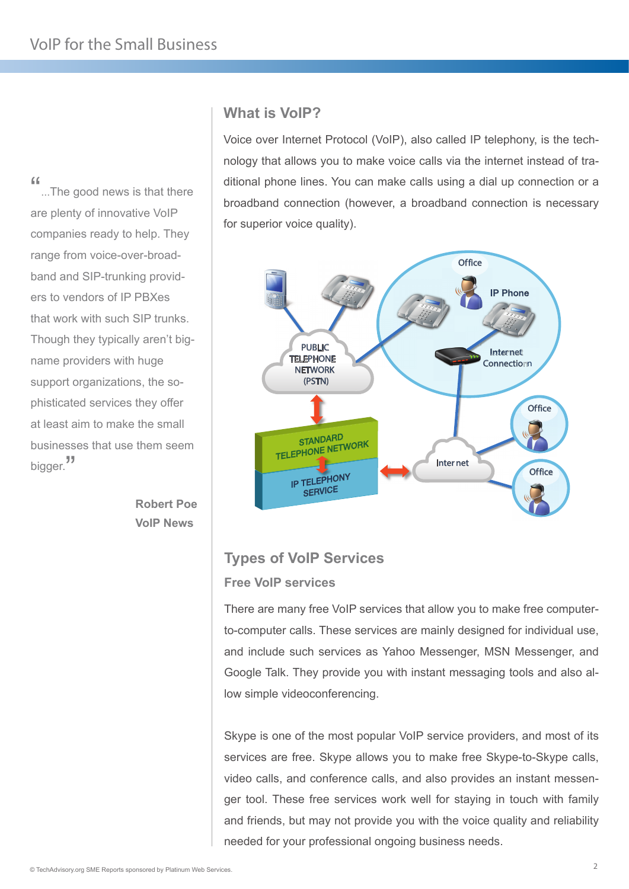"...The good news is that there are plenty of innovative VoIP companies ready to help. They range from voice-over-broadband and SIP-trunking providers to vendors of IP PBXes that work with such SIP trunks. Though they typically aren't bigname providers with huge support organizations, the sophisticated services they offer at least aim to make the small businesses that use them seem bigger.<sup>"</sup>

> **Robert Poe VoIP News**

#### **What is VoIP?**

Voice over Internet Protocol (VoIP), also called IP telephony, is the technology that allows you to make voice calls via the internet instead of traditional phone lines. You can make calls using a dial up connection or a broadband connection (however, a broadband connection is necessary for superior voice quality).



## **Types of VoIP Services Free VoIP services**

There are many free VoIP services that allow you to make free computerto-computer calls. These services are mainly designed for individual use, and include such services as Yahoo Messenger, MSN Messenger, and Google Talk. They provide you with instant messaging tools and also allow simple videoconferencing.

Skype is one of the most popular VoIP service providers, and most of its services are free. Skype allows you to make free Skype-to-Skype calls, video calls, and conference calls, and also provides an instant messenger tool. These free services work well for staying in touch with family and friends, but may not provide you with the voice quality and reliability needed for your professional ongoing business needs.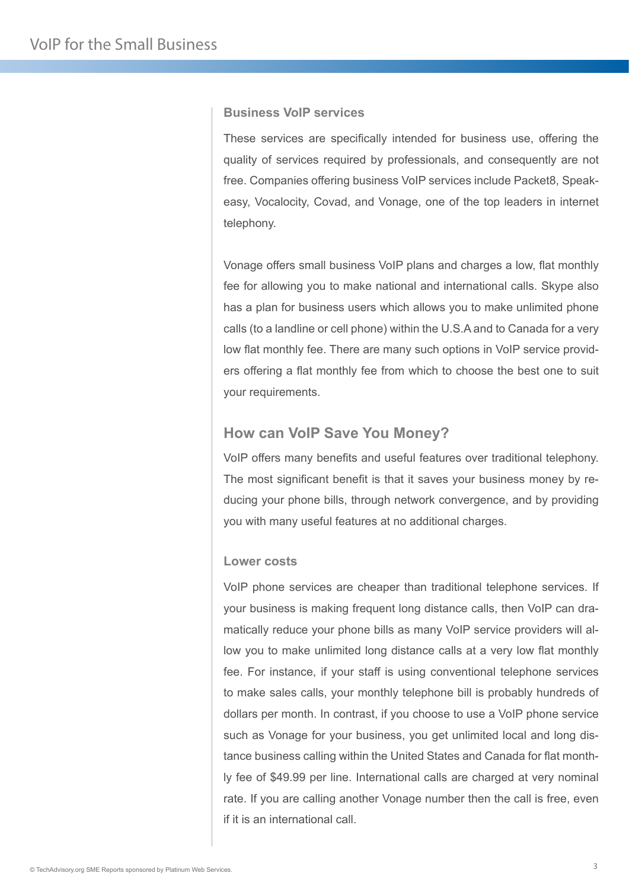#### **Business VoIP services**

These services are specifically intended for business use, offering the quality of services required by professionals, and consequently are not free. Companies offering business VoIP services include Packet8, Speakeasy, Vocalocity, Covad, and Vonage, one of the top leaders in internet telephony.

Vonage offers small business VoIP plans and charges a low, flat monthly fee for allowing you to make national and international calls. Skype also has a plan for business users which allows you to make unlimited phone calls (to a landline or cell phone) within the U.S.A and to Canada for a very low flat monthly fee. There are many such options in VoIP service providers offering a flat monthly fee from which to choose the best one to suit your requirements.

#### **How can VoIP Save You Money?**

VoIP offers many benefits and useful features over traditional telephony. The most significant benefit is that it saves your business money by reducing your phone bills, through network convergence, and by providing you with many useful features at no additional charges.

#### **Lower costs**

VoIP phone services are cheaper than traditional telephone services. If your business is making frequent long distance calls, then VoIP can dramatically reduce your phone bills as many VoIP service providers will allow you to make unlimited long distance calls at a very low flat monthly fee. For instance, if your staff is using conventional telephone services to make sales calls, your monthly telephone bill is probably hundreds of dollars per month. In contrast, if you choose to use a VoIP phone service such as Vonage for your business, you get unlimited local and long distance business calling within the United States and Canada for flat monthly fee of \$49.99 per line. International calls are charged at very nominal rate. If you are calling another Vonage number then the call is free, even if it is an international call.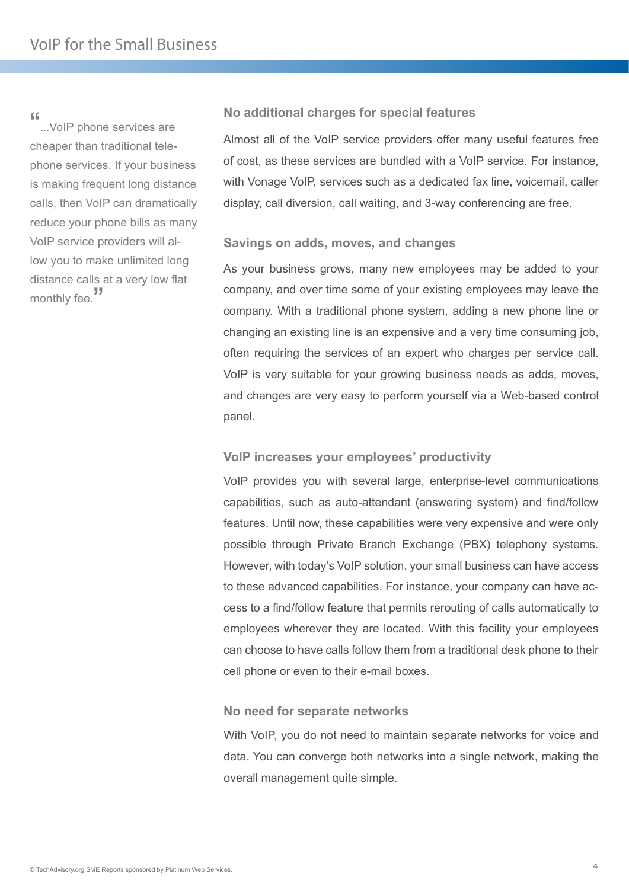"...VoIP phone services are cheaper than traditional telephone services. If your business is making frequent long distance calls, then VoIP can dramatically reduce your phone bills as many VoIP service providers will allow you to make unlimited long distance calls at a very low flat monthly fee.<sup>"</sup>

#### **No additional charges for special features**

Almost all of the VoIP service providers offer many useful features free of cost, as these services are bundled with a VoIP service. For instance, with Vonage VoIP, services such as a dedicated fax line, voicemail, caller display, call diversion, call waiting, and 3-way conferencing are free.

#### **Savings on adds, moves, and changes**

As your business grows, many new employees may be added to your company, and over time some of your existing employees may leave the company. With a traditional phone system, adding a new phone line or changing an existing line is an expensive and a very time consuming job, often requiring the services of an expert who charges per service call. VoIP is very suitable for your growing business needs as adds, moves, and changes are very easy to perform yourself via a Web-based control panel.

#### **VoIP increases your employees' productivity**

VoIP provides you with several large, enterprise-level communications capabilities, such as auto-attendant (answering system) and find/follow features. Until now, these capabilities were very expensive and were only possible through Private Branch Exchange (PBX) telephony systems. However, with today's VoIP solution, your small business can have access to these advanced capabilities. For instance, your company can have access to a find/follow feature that permits rerouting of calls automatically to employees wherever they are located. With this facility your employees can choose to have calls follow them from a traditional desk phone to their cell phone or even to their e-mail boxes.

#### **No need for separate networks**

With VoIP, you do not need to maintain separate networks for voice and data. You can converge both networks into a single network, making the overall management quite simple.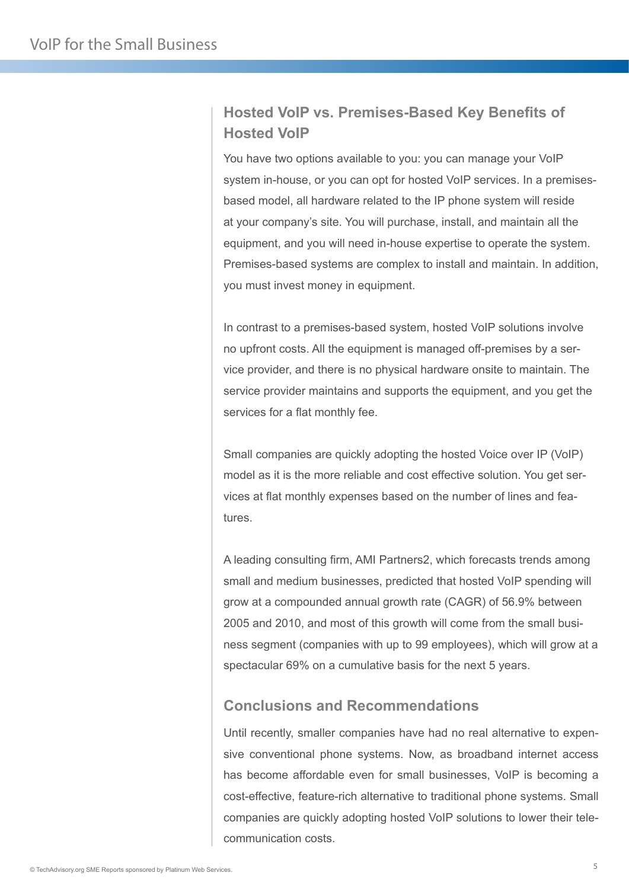## **Hosted VoIP vs. Premises-Based Key Benefits of Hosted VoIP**

You have two options available to you: you can manage your VoIP system in-house, or you can opt for hosted VoIP services. In a premisesbased model, all hardware related to the IP phone system will reside at your company's site. You will purchase, install, and maintain all the equipment, and you will need in-house expertise to operate the system. Premises-based systems are complex to install and maintain. In addition, you must invest money in equipment.

In contrast to a premises-based system, hosted VoIP solutions involve no upfront costs. All the equipment is managed off-premises by a service provider, and there is no physical hardware onsite to maintain. The service provider maintains and supports the equipment, and you get the services for a flat monthly fee.

Small companies are quickly adopting the hosted Voice over IP (VoIP) model as it is the more reliable and cost effective solution. You get services at flat monthly expenses based on the number of lines and features.

A leading consulting firm, AMI Partners2, which forecasts trends among small and medium businesses, predicted that hosted VoIP spending will grow at a compounded annual growth rate (CAGR) of 56.9% between 2005 and 2010, and most of this growth will come from the small business segment (companies with up to 99 employees), which will grow at a spectacular 69% on a cumulative basis for the next 5 years.

### **Conclusions and Recommendations**

Until recently, smaller companies have had no real alternative to expensive conventional phone systems. Now, as broadband internet access has become affordable even for small businesses, VoIP is becoming a cost-effective, feature-rich alternative to traditional phone systems. Small companies are quickly adopting hosted VoIP solutions to lower their telecommunication costs.